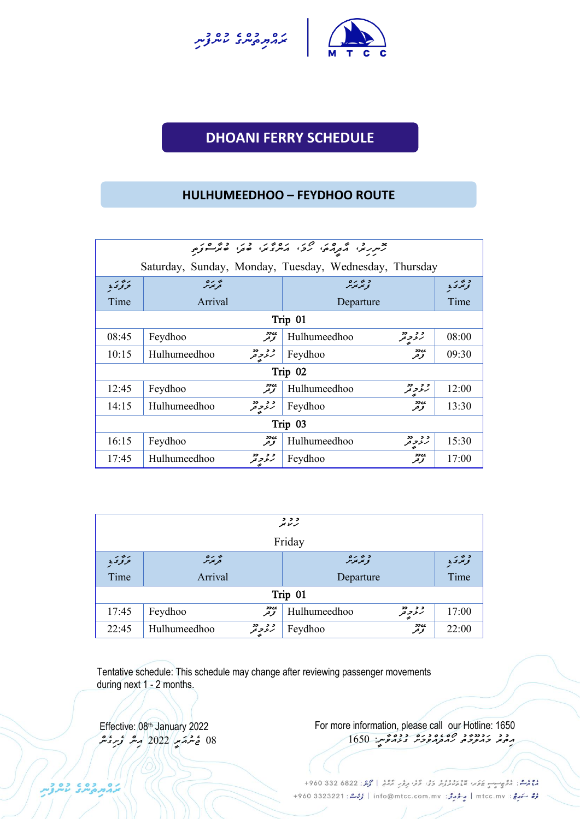



# **DHOANI FERRY SCHEDULE UNCH SCHEDULE**

#### **HULHUMEEDHOO – FEYDHOO ROUTE**

|         | Saturday, Sunday, Monday, Tuesday, Wednesday, Thursday |                                   |       |  |  |  |  |
|---------|--------------------------------------------------------|-----------------------------------|-------|--|--|--|--|
| برودي   | پر رہ<br>توبوس                                         | د بر بره<br>نو ټر پر بر           | وبردي |  |  |  |  |
| Time    | Arrival                                                | Departure                         | Time  |  |  |  |  |
|         |                                                        | Trip 01                           |       |  |  |  |  |
| 08:45   | یں۔<br>تو تر<br>Feydhoo                                | و و دو<br>رنگر فر<br>Hulhumeedhoo | 08:00 |  |  |  |  |
| 10:15   | و د دد<br>Hulhumeedhoo                                 | <b>ssee</b><br>Feydhoo<br>توحر    | 09:30 |  |  |  |  |
|         |                                                        | Trip 02                           |       |  |  |  |  |
| 12:45   | یں دو<br>تخریخر<br>Feydhoo                             | و د دو<br>Hulhumeedhoo            | 12:00 |  |  |  |  |
| 14:15   | و و دو<br>رنگر تر<br>Hulhumeedhoo                      | <b>ssee</b><br>Feydhoo<br>توحر    | 13:30 |  |  |  |  |
| Trip 03 |                                                        |                                   |       |  |  |  |  |
| 16:15   | یں دو<br>تخریخر<br>Feydhoo                             | 22 22<br>Hulhumeedhoo<br>ر د و تر | 15:30 |  |  |  |  |
| 17:45   | و و دو<br>رنگر تر<br>Hulhumeedhoo                      | ઝ્ય<br>Feydhoo<br>توقر            | 17:00 |  |  |  |  |

| و و و<br>تر نامو           |                                                            |              |                    |       |  |  |
|----------------------------|------------------------------------------------------------|--------------|--------------------|-------|--|--|
| Friday                     |                                                            |              |                    |       |  |  |
| وترىرە<br>تحريمزمر<br>بزور |                                                            |              |                    |       |  |  |
| Time                       | Arrival<br>Departure                                       |              |                    | Time  |  |  |
|                            |                                                            | Trip 01      |                    |       |  |  |
| 17:45                      | ی دو<br>تو تو<br>Feydhoo                                   | Hulhumeedhoo | و و دو<br>رنو و تو | 17:00 |  |  |
| 22:45                      | رود<br>توقر<br>د د دد<br>رنر په<br>Feydhoo<br>Hulhumeedhoo |              |                    |       |  |  |

Tentative schedule: This schedule may change after reviewing passenger movements during next 1 - 2 months.

Effective: 08th January 2022  *08 ޖެނުއަރީ 2022 އިން ފެށިގެން*  For more information, please call our Hotline: 1650 <del>ﯩ</del>ِﻣُﻐُﺪ ﺧُﻣُﺘﯘﻣﯘ ﻛﯩﻤﻐﯘﻣﯘ<u>ﯨﺮ: 1650</u>

مْعْمَدْ مْنْ مُرْوَجِسِبِ عَامَرُ مْعْمَدْ مْرْدُورْ دَبْنَ كَثَرَ، وَمُنْ مِرْمَرَ ﴾ [محمد : 822 580 960+ مُرُّ سَهرِجٌ : mtcc.mv | مِرْدُ مِرْدُ : info@mtcc.com.mv | مُرْحَدٌ : 4960 3323221 +960

בהתפתל עתני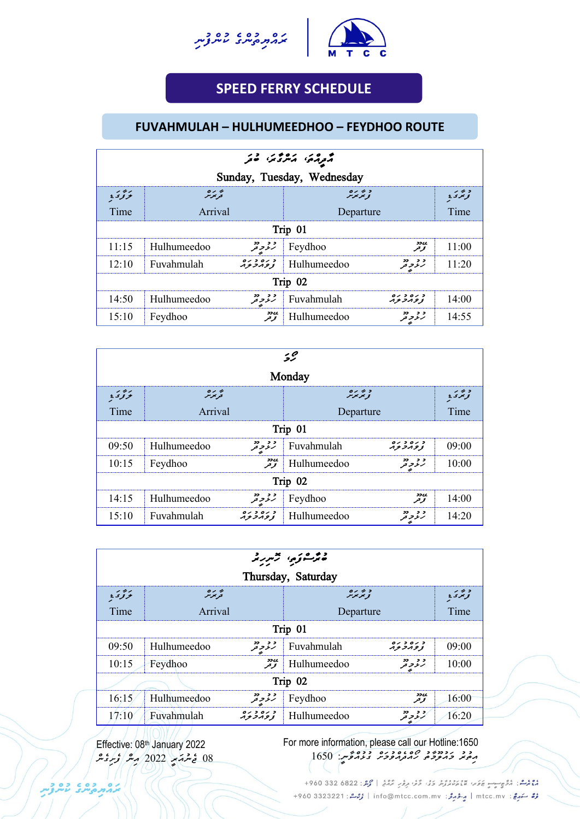



## **SPEED FERRY SCHEDULE**

**UNCH SCHEDULE**

#### **FUVAHMULAH – HULHUMEEDHOO – FEYDHOO ROUTE**

| موړه کرمړۍ هر                                                                             |             |                 |                           |                     |       |  |
|-------------------------------------------------------------------------------------------|-------------|-----------------|---------------------------|---------------------|-------|--|
| Sunday, Tuesday, Wednesday                                                                |             |                 |                           |                     |       |  |
| 0122<br>پر رہ<br>تر بر ر<br>بزودي<br>د بر ر<br>نو ټر د به<br>توتنز تنزمتر                 |             |                 |                           |                     |       |  |
| Time                                                                                      | Arrival     |                 | Departure                 |                     | Time  |  |
|                                                                                           | Trip 01     |                 |                           |                     |       |  |
| 11:15                                                                                     | Hulhumeedoo |                 | $\mathcal{L}$ Feydhoo     | <b>SILL</b><br>توقو | 11:00 |  |
| 12:10                                                                                     | Fuvahmulah  |                 | $\mathcal{L}$ Hulhumeedoo | د د دد              | 11:20 |  |
| Trip 02                                                                                   |             |                 |                           |                     |       |  |
| د ره د ره<br>زومرتزم<br>و و دو<br>رنو و تو<br>14:50<br>Fuvahmulah<br>14:00<br>Hulhumeedoo |             |                 |                           |                     |       |  |
| 15:10                                                                                     | Feydhoo     | مەدد<br>  توتىر | Hulhumeedoo               | و و دو<br>رنر و تر  | 14:55 |  |

| 52                                                                |             |                   |                           |                      |       |  |
|-------------------------------------------------------------------|-------------|-------------------|---------------------------|----------------------|-------|--|
| Monday                                                            |             |                   |                           |                      |       |  |
| د بر بره<br>نو پر بر بر<br>پر رہ<br>قریمز <sub>س</sub> ر<br>برودي |             |                   |                           |                      |       |  |
| Time                                                              | Arrival     |                   | Departure                 |                      | Time  |  |
|                                                                   | Trip 01     |                   |                           |                      |       |  |
| 09:50                                                             | Hulhumeedoo | و و دو<br>رنرو تو | Fuvahmulah                | د ره د ره<br>زومرتزم | 09:00 |  |
| 10:15                                                             | Feydhoo     |                   | $\mathcal{L}$ tulhumeedoo | و و دو<br>رنگو تو تو | 10:00 |  |
| Trip 02                                                           |             |                   |                           |                      |       |  |
| ی دو<br>تخریخر<br>ژ ژو دو<br>14:15<br>Hulhumeedoo<br>Feydhoo      |             |                   |                           |                      |       |  |
| 15:10                                                             | Fuvahmulah  |                   | Hulhumeedoo               | و و دو<br>رنمو تو    | 14:20 |  |

| ەترىشۇرى جىررىمە                                                           |                                       |                    |             |                       |       |  |  |
|----------------------------------------------------------------------------|---------------------------------------|--------------------|-------------|-----------------------|-------|--|--|
| Thursday, Saturday                                                         |                                       |                    |             |                       |       |  |  |
| د عربره<br>نو تر <sub>م</sub> رس<br>بروسي<br>پر رہ<br>قریمز <sub>س</sub> ر |                                       |                    |             |                       |       |  |  |
| Time                                                                       | Arrival                               |                    | Departure   |                       | Time  |  |  |
| Trip 01                                                                    |                                       |                    |             |                       |       |  |  |
| 09:50                                                                      | Hulhumeedoo                           | و و دو<br>رنو و تو | Fuvahmulah  | د ره د ره<br>زومرتوبر | 09:00 |  |  |
| 10:15                                                                      | Feydhoo                               | ی دو<br>تو تعر     | Hulhumeedoo | و و دو<br>رنگو د تعر  | 10:00 |  |  |
|                                                                            |                                       |                    | Trip 02     |                       |       |  |  |
| 16:15                                                                      | Hulhumeedoo                           | و و دو<br>رنو و تو | Feydhoo     | 22c<br>توقر           | 16:00 |  |  |
| 17:10                                                                      | د ره د ره<br>زوه تر تره<br>Fuvahmulah |                    | Hulhumeedoo | ژ ژوپو                | 16:20 |  |  |
|                                                                            |                                       |                    |             |                       |       |  |  |

Effective: 08 th January 2022 *08 ޖެނުއަރީ 2022 އ ން ފެށ ގެން*  For more information, please call our Hotline:1650 مِمَعَد حَمَدَّوَدَتْمَ رَمَعَ مُعَدَّمَةً مِنْ 1650

دوم شا: دُوْمٍ جِسِمٍ عَلَمَ، مَعْ مِسْرُدُ دَوْ، دُوْ، دِمْرَ، مُرْدُ، حَمَّدُ 22 330 4960 + رُرُّ سَهرِجْ: mtcc.mv | مِرْدُ جَرَمْرُ: info@mtcc.com.mv | رُحِمْ : 4960 3323221 +960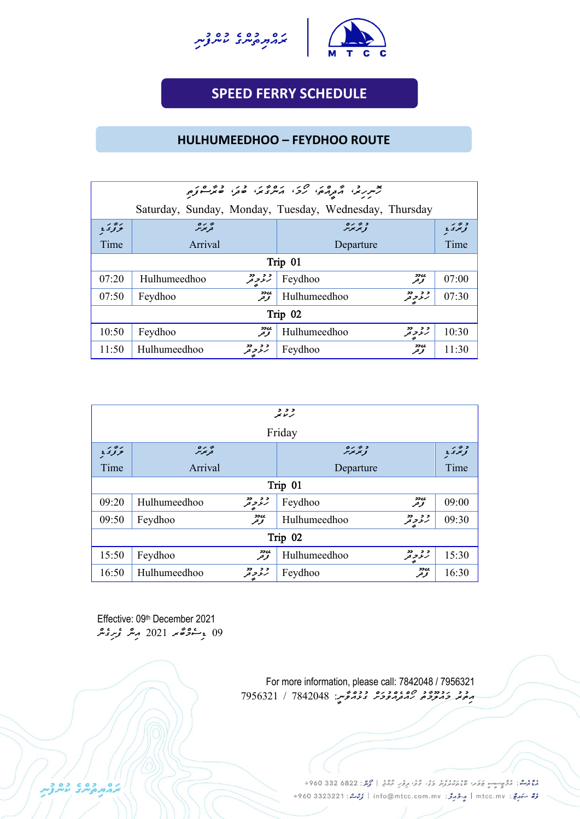



## **SPEED FERRY SCHEDULE**

**UNCH SCHEDULE**

### **HULHUMEEDHOO – FEYDHOO ROUTE**

| مرسر رو مردمی کرد. ده در دوره در دوره                                  |                                                        |                                     |       |  |  |  |
|------------------------------------------------------------------------|--------------------------------------------------------|-------------------------------------|-------|--|--|--|
|                                                                        | Saturday, Sunday, Monday, Tuesday, Wednesday, Thursday |                                     |       |  |  |  |
| پر رہ<br>قریمزمر<br>د بر بره<br>نو تر بر بر<br>بزور                    |                                                        |                                     |       |  |  |  |
| Time                                                                   | Arrival                                                | Departure                           | Time  |  |  |  |
|                                                                        | Trip 01                                                |                                     |       |  |  |  |
| 07:20                                                                  | و و دو<br>رنو و تو<br>Hulhumeedhoo                     | ی وو<br>تخریخر<br>Feydhoo           | 07:00 |  |  |  |
| 07:50                                                                  | ی دو<br>تخریخر<br>Feydhoo                              | و و دو<br>رنمو د تر<br>Hulhumeedhoo | 07:30 |  |  |  |
| Trip 02                                                                |                                                        |                                     |       |  |  |  |
| ی وو<br>تحریحر<br>د د دد<br>رنز په<br>10:50<br>Hulhumeedhoo<br>Feydhoo |                                                        |                                     |       |  |  |  |
| 11:50                                                                  | و و دو<br>رنر و تر<br>Hulhumeedhoo                     | <b>sscc</b><br>Feydhoo<br>توحر      | 11:30 |  |  |  |

| و و و<br>برنامو                                                                   |                                    |  |              |                     |                               |  |
|-----------------------------------------------------------------------------------|------------------------------------|--|--------------|---------------------|-------------------------------|--|
| Friday                                                                            |                                    |  |              |                     |                               |  |
| تحريمزمر<br>د پر بره<br>تر بر بر<br>بروس                                          |                                    |  |              |                     | د پرې<br>نوبرۍ ي <sub>ځ</sub> |  |
| Time                                                                              | Arrival                            |  | Departure    |                     | Time                          |  |
|                                                                                   | Trip 01                            |  |              |                     |                               |  |
| 09:20                                                                             | و د دد<br>Hulhumeedhoo             |  | Feydhoo      | <b>ssee</b><br>توفر | 09:00                         |  |
| 09:50                                                                             | ی دو<br>قرقر<br>Feydhoo            |  | Hulhumeedhoo | و و دو<br>رنگر د فر | 09:30                         |  |
| Trip 02                                                                           |                                    |  |              |                     |                               |  |
| ی وو<br>قر <sup>و</sup> ر<br>د د دد<br>رنر پر<br>15:50<br>Feydhoo<br>Hulhumeedhoo |                                    |  |              |                     |                               |  |
| 16:50                                                                             | و و دو<br>رنر و تر<br>Hulhumeedhoo |  | Feydhoo      | ی وو<br>تخریخر      | 16:30                         |  |

Effective: 09th December 2021 *09 ޑިސެމްބާރ 2021 އިން ފެށިގެން*

> For more information, please call: 7842048 / 7956321 *އިތުރު މައުލ މާތު ހޯއްދެއްވުމަށް ގުޅުއްވާނ:ީ 7842048 / 7956321*

> > دوم -: أُمُؤْمِنِ -- عَوَسَ مَعْ مُسْتَرَبِّرْ وَفَى قَوْءِ مِرْمَةٍ مِنْ أَحْمَدُ: 6822 682 960+ رُرُّ سَهرِجْ: mtcc.mv | مِرْدُ جَرَمْرُ: info@mtcc.com.mv | رُحِمْ : 4960 3323221 +960